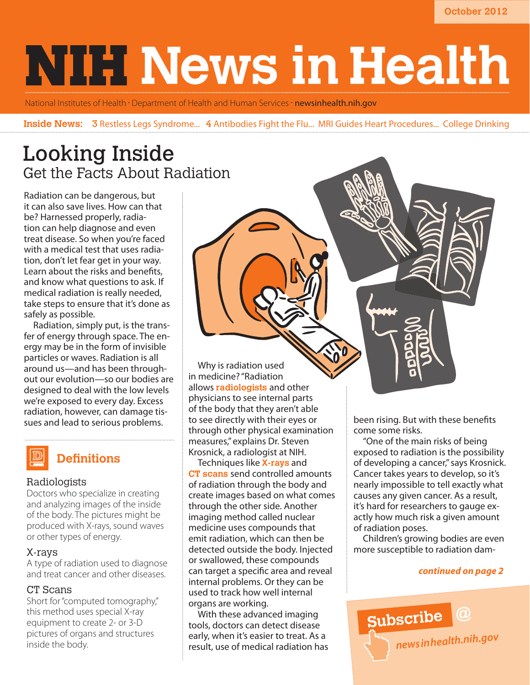**October 2012**

# **NIH News in Health**

National Institutes of Health · Department of Health and Human Services · newsinhealth.nih.gov

**Inside News:** 3 Restless Legs Syndrome... 4 Antibodies Fight the Flu... MRI Guides Heart Procedures... College Drinking

# Looking Inside Get the Facts About Radiation

Radiation can be dangerous, but it can also save lives. How can that be? Harnessed properly, radiation can help diagnose and even treat disease. So when you're faced with a medical test that uses radiation, don't let fear get in your way. Learn about the risks and benefits, and know what questions to ask. If medical radiation is really needed, take steps to ensure that it's done as safely as possible.

Radiation, simply put, is the transfer of energy through space. The energy may be in the form of invisible particles or waves. Radiation is all around us—and has been throughout our evolution—so our bodies are designed to deal with the low levels we're exposed to every day. Excess radiation, however, can damage tissues and lead to serious problems.

# **Definitions**

# Radiologists

Doctors who specialize in creating and analyzing images of the inside of the body. The pictures might be produced with X-rays, sound waves or other types of energy.

# X-rays

A type of radiation used to diagnose and treat cancer and other diseases.

# CT Scans

Short for "computed tomography," this method uses special X-ray equipment to create 2- or 3-D pictures of organs and structures inside the body.

Why is radiation used in medicine? "Radiation allows **radiologists** and other physicians to see internal parts of the body that they aren't able to see directly with their eyes or through other physical examination measures," explains Dr. Steven Krosnick, a radiologist at NIH.

Techniques like **X-rays** and **CT scans** send controlled amounts of radiation through the body and create images based on what comes through the other side. Another imaging method called nuclear medicine uses compounds that emit radiation, which can then be detected outside the body. Injected or swallowed, these compounds can target a specific area and reveal internal problems. Or they can be used to track how well internal organs are working.

With these advanced imaging tools, doctors can detect disease early, when it's easier to treat. As a result, use of medical radiation has been rising. But with these benefits come some risks.

"One of the main risks of being exposed to radiation is the possibility of developing a cancer," says Krosnick. Cancer takes years to develop, so it's nearly impossible to tell exactly what causes any given cancer. As a result, it's hard for researchers to gauge exactly how much risk a given amount of radiation poses.

Children's growing bodies are even more susceptible to radiation dam-

# *continued on page 2*

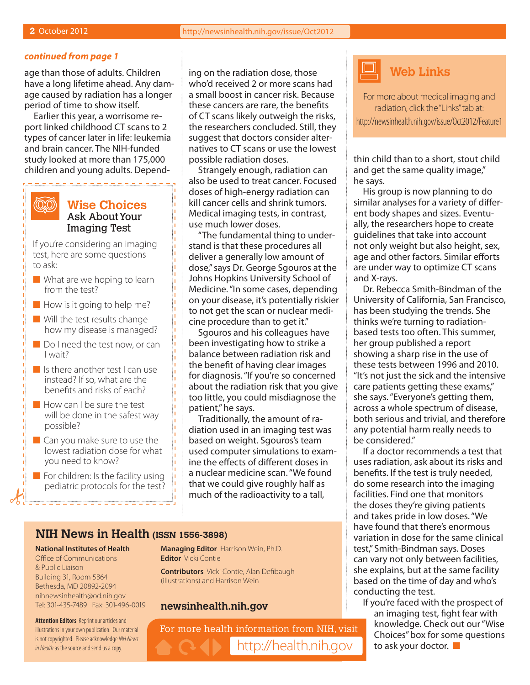(QQ)

#### *continued from page 1*

age than those of adults. Children have a long lifetime ahead. Any damage caused by radiation has a longer period of time to show itself.

Earlier this year, a worrisome report linked childhood CT scans to 2 types of cancer later in life: leukemia and brain cancer. The NIH-funded study looked at more than 175,000 children and young adults. Depend-

# **Wise Choices** Ask About Your Imaging Test

---------

If you're considering an imaging test, here are some questions to ask:

- $\blacksquare$  What are we hoping to learn from the test?
- $\blacksquare$  How is it going to help me?
- $\blacksquare$  Will the test results change how my disease is managed?
- $\Box$  Do I need the test now, or can I wait?
- $\blacksquare$  Is there another test I can use instead? If so, what are the benefits and risks of each?
- **Now can I be sure the test** will be done in the safest way possible?
- $\blacksquare$  Can you make sure to use the lowest radiation dose for what you need to know?
- $\blacksquare$  For children: Is the facility using pediatric protocols for the test?

ing on the radiation dose, those who'd received 2 or more scans had a small boost in cancer risk. Because these cancers are rare, the benefits of CT scans likely outweigh the risks, the researchers concluded. Still, they suggest that doctors consider alternatives to CT scans or use the lowest possible radiation doses.

Strangely enough, radiation can also be used to treat cancer. Focused doses of high-energy radiation can kill cancer cells and shrink tumors. Medical imaging tests, in contrast, use much lower doses.

"The fundamental thing to understand is that these procedures all deliver a generally low amount of dose," says Dr. George Sgouros at the Johns Hopkins University School of Medicine. "In some cases, depending on your disease, it's potentially riskier to not get the scan or nuclear medicine procedure than to get it."

Sgouros and his colleagues have been investigating how to strike a balance between radiation risk and the benefit of having clear images for diagnosis. "If you're so concerned about the radiation risk that you give too little, you could misdiagnose the patient," he says.

Traditionally, the amount of radiation used in an imaging test was based on weight. Sgouros's team used computer simulations to examine the effects of different doses in a nuclear medicine scan. "We found that we could give roughly half as much of the radioactivity to a tall,

# **NIH News in Health (ISSN 1556-3898)**

#### **National Institutes of Health**

Office of Communications & Public Liaison Building 31, Room 5B64 Bethesda, MD 20892-2094 nihnewsinhealth@od.nih.gov Tel: 301-435-7489 Fax: 301-496-0019

**Attention Editors** Reprint our articles and illustrations in your own publication. Our material is not copyrighted. Please acknowledge *NIH News in Health* as the source and send us a copy.

**Managing Editor** Harrison Wein, Ph.D. **Editor** Vicki Contie

**Contributors** Vicki Contie, Alan Defibaugh (illustrations) and Harrison Wein

## **newsinhealth.nih.gov**

For more health information from NIH, visit http://health.nih.gov



For more about medical imaging and radiation, click the "Links" tab at: http://newsinhealth.nih.gov/issue/Oct2012/Feature1

thin child than to a short, stout child and get the same quality image," he says.

His group is now planning to do similar analyses for a variety of different body shapes and sizes. Eventually, the researchers hope to create guidelines that take into account not only weight but also height, sex, age and other factors. Similar efforts are under way to optimize CT scans and X-rays.

Dr. Rebecca Smith-Bindman of the University of California, San Francisco, has been studying the trends. She thinks we're turning to radiationbased tests too often. This summer, her group published a report showing a sharp rise in the use of these tests between 1996 and 2010. "It's not just the sick and the intensive care patients getting these exams," she says. "Everyone's getting them, across a whole spectrum of disease, both serious and trivial, and therefore any potential harm really needs to be considered."

If a doctor recommends a test that uses radiation, ask about its risks and benefits. If the test is truly needed, do some research into the imaging facilities. Find one that monitors the doses they're giving patients and takes pride in low doses. "We have found that there's enormous variation in dose for the same clinical test," Smith-Bindman says. Doses can vary not only between facilities, she explains, but at the same facility based on the time of day and who's conducting the test.

If you're faced with the prospect of an imaging test, fight fear with knowledge. Check out our "Wise Choices" box for some questions to ask your doctor.  $\blacksquare$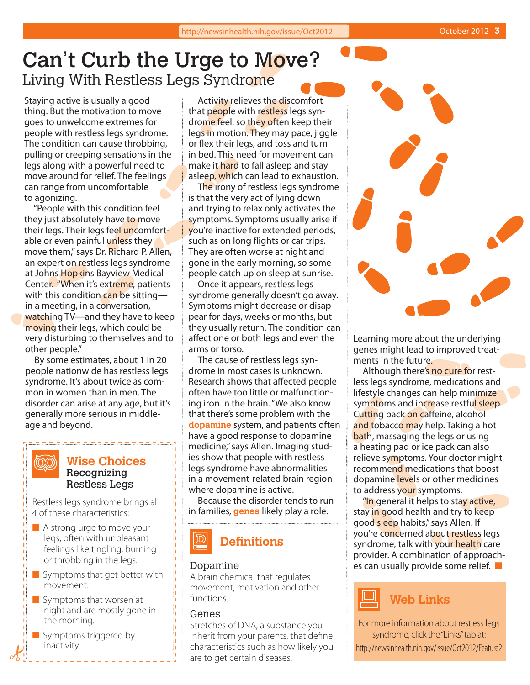# Can't Curb the Urge to Move? Living With Restless Legs Syndrome

Staying active is usually a good thing. But the motivation to move goes to unwelcome extremes for people with restless legs syndrome. The condition can cause throbbing, pulling or creeping sensations in the legs along with a powerful need to move around for relief. The feelings can range from uncomfortable to agonizing.

"People with this condition feel they just absolutely have to move their legs. Their legs feel uncomfortable or even painful unless they move them," says Dr. Richard P. Allen, an expert on restless legs syndrome at Johns Hopkins Bayview Medical Center. "When it's extreme, patients with this condition can be sitting in a meeting, in a conversation, watching TV—and they have to keep moving their legs, which could be very disturbing to themselves and to other people."

By some estimates, about 1 in 20 people nationwide has restless legs syndrome. It's about twice as common in women than in men. The disorder can arise at any age, but it's generally more serious in middleage and beyond.

# **Wise Choices** Recognizing Restless Legs

Restless legs syndrome brings all 4 of these characteristics:

 $\langle$ OXO)

- $\blacksquare$  A strong urge to move your legs, often with unpleasant feelings like tingling, burning or throbbing in the legs.
- $\blacksquare$  Symptoms that get better with movement.
- $\blacksquare$  Symptoms that worsen at night and are mostly gone in the morning.
- $\blacksquare$  Symptoms triggered by inactivity.

Activity relieves the discomfort that people with restless legs syndrome feel, so they often keep their legs in motion. They may pace, jiggle or flex their legs, and toss and turn in bed. This need for movement can make it hard to fall asleep and stay asleep, which can lead to exhaustion.

The irony of restless legs syndrome is that the very act of lying down and trying to relax only activates the symptoms. Symptoms usually arise if you're inactive for extended periods, such as on long flights or car trips. They are often worse at night and gone in the early morning, so some people catch up on sleep at sunrise.

Once it appears, restless legs syndrome generally doesn't go away. Symptoms might decrease or disappear for days, weeks or months, but they usually return. The condition can affect one or both legs and even the arms or torso.

The cause of restless legs syndrome in most cases is unknown. Research shows that affected people often have too little or malfunctioning iron in the brain. "We also know that there's some problem with the **dopamine** system, and patients often have a good response to dopamine medicine," says Allen. Imaging studies show that people with restless legs syndrome have abnormalities in a movement-related brain region where dopamine is active.

Because the disorder tends to run in families, **genes** likely play a role.

# **Definitions**

# Dopamine

A brain chemical that regulates movement, motivation and other functions.

#### Genes

Stretches of DNA, a substance you inherit from your parents, that define characteristics such as how likely you are to get certain diseases.



Learning more about the underlying genes might lead to improved treatments in the future.

Although there's no cure for restless legs syndrome, medications and lifestyle changes can help minimize symptoms and increase restful sleep. Cutting back on caffeine, alcohol and tobacco may help. Taking a hot bath, massaging the legs or using a heating pad or ice pack can also relieve symptoms. Your doctor might recommend medications that boost dopamine levels or other medicines to address your symptoms.

"In general it helps to stay active, stay in good health and try to keep good sleep habits," says Allen. If you're concerned about restless legs syndrome, talk with your health care provider. A combination of approaches can usually provide some relief.  $\blacksquare$ 



For more information about restless legs syndrome, click the "Links" tab at: http://newsinhealth.nih.gov/issue/Oct2012/Feature2